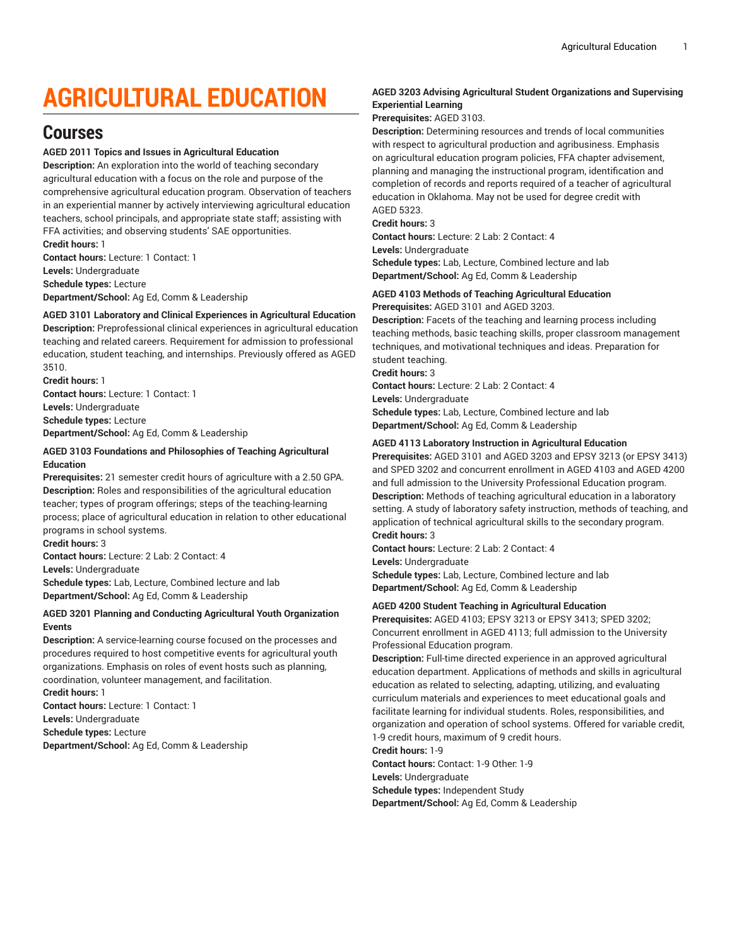# **AGRICULTURAL EDUCATION**

# **Courses**

#### **AGED 2011 Topics and Issues in Agricultural Education**

**Description:** An exploration into the world of teaching secondary agricultural education with a focus on the role and purpose of the comprehensive agricultural education program. Observation of teachers in an experiential manner by actively interviewing agricultural education teachers, school principals, and appropriate state staff; assisting with FFA activities; and observing students' SAE opportunities. **Credit hours:** 1

**Contact hours:** Lecture: 1 Contact: 1 **Levels:** Undergraduate **Schedule types:** Lecture **Department/School:** Ag Ed, Comm & Leadership

# **AGED 3101 Laboratory and Clinical Experiences in Agricultural Education**

**Description:** Preprofessional clinical experiences in agricultural education teaching and related careers. Requirement for admission to professional education, student teaching, and internships. Previously offered as AGED 3510.

**Credit hours:** 1 **Contact hours:** Lecture: 1 Contact: 1 **Levels:** Undergraduate **Schedule types:** Lecture **Department/School:** Ag Ed, Comm & Leadership

#### **AGED 3103 Foundations and Philosophies of Teaching Agricultural Education**

**Prerequisites:** 21 semester credit hours of agriculture with a 2.50 GPA. **Description:** Roles and responsibilities of the agricultural education teacher; types of program offerings; steps of the teaching-learning process; place of agricultural education in relation to other educational programs in school systems.

**Credit hours:** 3

**Contact hours:** Lecture: 2 Lab: 2 Contact: 4

**Levels:** Undergraduate

**Schedule types:** Lab, Lecture, Combined lecture and lab **Department/School:** Ag Ed, Comm & Leadership

### **AGED 3201 Planning and Conducting Agricultural Youth Organization Events**

**Description:** A service-learning course focused on the processes and procedures required to host competitive events for agricultural youth organizations. Emphasis on roles of event hosts such as planning, coordination, volunteer management, and facilitation.

**Credit hours:** 1 **Contact hours:** Lecture: 1 Contact: 1

**Levels:** Undergraduate

**Schedule types:** Lecture

**Department/School:** Ag Ed, Comm & Leadership

# **AGED 3203 Advising Agricultural Student Organizations and Supervising Experiential Learning**

### **Prerequisites:** AGED 3103.

**Description:** Determining resources and trends of local communities with respect to agricultural production and agribusiness. Emphasis on agricultural education program policies, FFA chapter advisement, planning and managing the instructional program, identification and completion of records and reports required of a teacher of agricultural education in Oklahoma. May not be used for degree credit with AGED 5323.

#### **Credit hours:** 3

**Contact hours:** Lecture: 2 Lab: 2 Contact: 4

**Levels:** Undergraduate

**Schedule types:** Lab, Lecture, Combined lecture and lab **Department/School:** Ag Ed, Comm & Leadership

### **AGED 4103 Methods of Teaching Agricultural Education Prerequisites:** AGED 3101 and AGED 3203.

**Description:** Facets of the teaching and learning process including teaching methods, basic teaching skills, proper classroom management techniques, and motivational techniques and ideas. Preparation for student teaching.

**Credit hours:** 3

**Contact hours:** Lecture: 2 Lab: 2 Contact: 4 **Levels:** Undergraduate **Schedule types:** Lab, Lecture, Combined lecture and lab **Department/School:** Ag Ed, Comm & Leadership

### **AGED 4113 Laboratory Instruction in Agricultural Education**

**Prerequisites:** AGED 3101 and AGED 3203 and EPSY 3213 (or EPSY 3413) and SPED 3202 and concurrent enrollment in AGED 4103 and AGED 4200 and full admission to the University Professional Education program. **Description:** Methods of teaching agricultural education in a laboratory setting. A study of laboratory safety instruction, methods of teaching, and application of technical agricultural skills to the secondary program. **Credit hours:** 3

**Contact hours:** Lecture: 2 Lab: 2 Contact: 4 **Levels:** Undergraduate

**Schedule types:** Lab, Lecture, Combined lecture and lab **Department/School:** Ag Ed, Comm & Leadership

# **AGED 4200 Student Teaching in Agricultural Education**

**Prerequisites:** AGED 4103; EPSY 3213 or EPSY 3413; SPED 3202; Concurrent enrollment in AGED 4113; full admission to the University Professional Education program.

**Description:** Full-time directed experience in an approved agricultural education department. Applications of methods and skills in agricultural education as related to selecting, adapting, utilizing, and evaluating curriculum materials and experiences to meet educational goals and facilitate learning for individual students. Roles, responsibilities, and organization and operation of school systems. Offered for variable credit, 1-9 credit hours, maximum of 9 credit hours.

**Credit hours:** 1-9

**Contact hours:** Contact: 1-9 Other: 1-9 **Levels:** Undergraduate **Schedule types:** Independent Study **Department/School:** Ag Ed, Comm & Leadership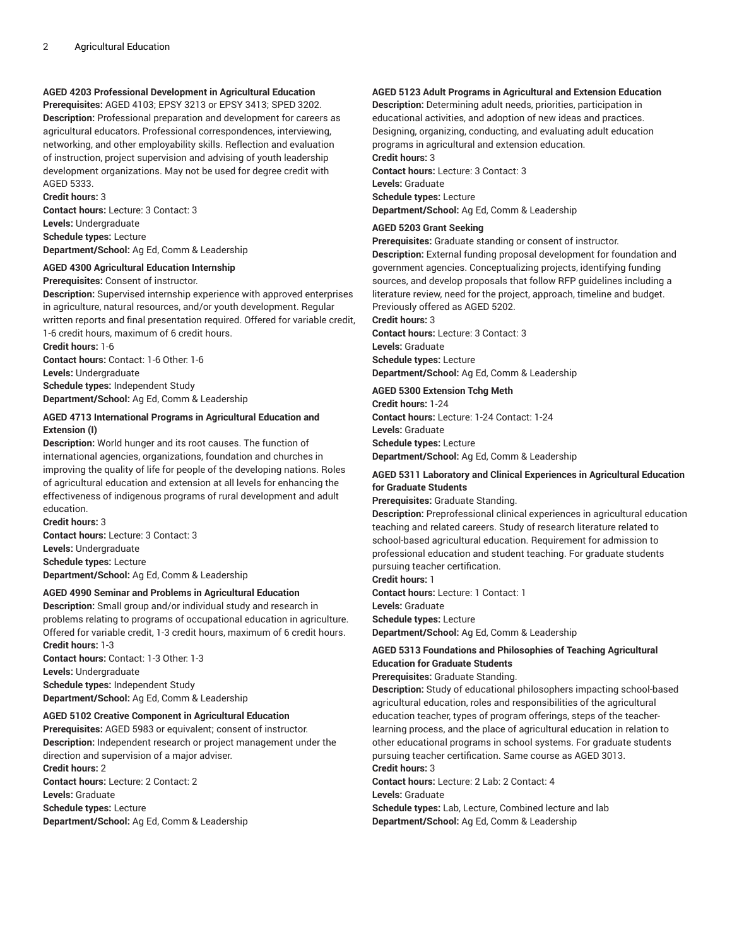# **AGED 4203 Professional Development in Agricultural Education**

**Prerequisites:** AGED 4103; EPSY 3213 or EPSY 3413; SPED 3202. **Description:** Professional preparation and development for careers as agricultural educators. Professional correspondences, interviewing, networking, and other employability skills. Reflection and evaluation of instruction, project supervision and advising of youth leadership development organizations. May not be used for degree credit with AGED 5333.

**Credit hours:** 3

**Contact hours:** Lecture: 3 Contact: 3 **Levels:** Undergraduate **Schedule types:** Lecture **Department/School:** Ag Ed, Comm & Leadership

#### **AGED 4300 Agricultural Education Internship**

**Prerequisites:** Consent of instructor.

**Description:** Supervised internship experience with approved enterprises in agriculture, natural resources, and/or youth development. Regular written reports and final presentation required. Offered for variable credit, 1-6 credit hours, maximum of 6 credit hours. **Credit hours:** 1-6

**Contact hours:** Contact: 1-6 Other: 1-6 **Levels:** Undergraduate **Schedule types:** Independent Study

**Department/School:** Ag Ed, Comm & Leadership

#### **AGED 4713 International Programs in Agricultural Education and Extension (I)**

**Description:** World hunger and its root causes. The function of international agencies, organizations, foundation and churches in improving the quality of life for people of the developing nations. Roles of agricultural education and extension at all levels for enhancing the effectiveness of indigenous programs of rural development and adult education.

**Credit hours:** 3 **Contact hours:** Lecture: 3 Contact: 3 **Levels:** Undergraduate **Schedule types:** Lecture **Department/School:** Ag Ed, Comm & Leadership

#### **AGED 4990 Seminar and Problems in Agricultural Education**

**Description:** Small group and/or individual study and research in problems relating to programs of occupational education in agriculture. Offered for variable credit, 1-3 credit hours, maximum of 6 credit hours. **Credit hours:** 1-3 **Contact hours:** Contact: 1-3 Other: 1-3

**Levels:** Undergraduate **Schedule types:** Independent Study **Department/School:** Ag Ed, Comm & Leadership

#### **AGED 5102 Creative Component in Agricultural Education**

**Prerequisites:** AGED 5983 or equivalent; consent of instructor. **Description:** Independent research or project management under the direction and supervision of a major adviser. **Credit hours:** 2

**Contact hours:** Lecture: 2 Contact: 2 **Levels:** Graduate **Schedule types:** Lecture **Department/School:** Ag Ed, Comm & Leadership

#### **AGED 5123 Adult Programs in Agricultural and Extension Education**

**Description:** Determining adult needs, priorities, participation in educational activities, and adoption of new ideas and practices. Designing, organizing, conducting, and evaluating adult education programs in agricultural and extension education. **Credit hours:** 3 **Contact hours:** Lecture: 3 Contact: 3 **Levels:** Graduate **Schedule types:** Lecture

**Department/School:** Ag Ed, Comm & Leadership

#### **AGED 5203 Grant Seeking**

**Prerequisites:** Graduate standing or consent of instructor. **Description:** External funding proposal development for foundation and government agencies. Conceptualizing projects, identifying funding sources, and develop proposals that follow RFP guidelines including a literature review, need for the project, approach, timeline and budget. Previously offered as AGED 5202.

**Credit hours:** 3

**Contact hours:** Lecture: 3 Contact: 3 **Levels:** Graduate **Schedule types:** Lecture **Department/School:** Ag Ed, Comm & Leadership

#### **AGED 5300 Extension Tchg Meth**

**Credit hours:** 1-24 **Contact hours:** Lecture: 1-24 Contact: 1-24 **Levels:** Graduate **Schedule types:** Lecture **Department/School:** Ag Ed, Comm & Leadership

#### **AGED 5311 Laboratory and Clinical Experiences in Agricultural Education for Graduate Students**

**Prerequisites:** Graduate Standing.

**Description:** Preprofessional clinical experiences in agricultural education teaching and related careers. Study of research literature related to school-based agricultural education. Requirement for admission to professional education and student teaching. For graduate students pursuing teacher certification.

**Credit hours:** 1

**Contact hours:** Lecture: 1 Contact: 1 **Levels:** Graduate **Schedule types:** Lecture **Department/School:** Ag Ed, Comm & Leadership

### **AGED 5313 Foundations and Philosophies of Teaching Agricultural Education for Graduate Students**

**Prerequisites:** Graduate Standing.

**Description:** Study of educational philosophers impacting school-based agricultural education, roles and responsibilities of the agricultural education teacher, types of program offerings, steps of the teacherlearning process, and the place of agricultural education in relation to other educational programs in school systems. For graduate students pursuing teacher certification. Same course as AGED 3013. **Credit hours:** 3

**Contact hours:** Lecture: 2 Lab: 2 Contact: 4 **Levels:** Graduate

**Schedule types:** Lab, Lecture, Combined lecture and lab **Department/School:** Ag Ed, Comm & Leadership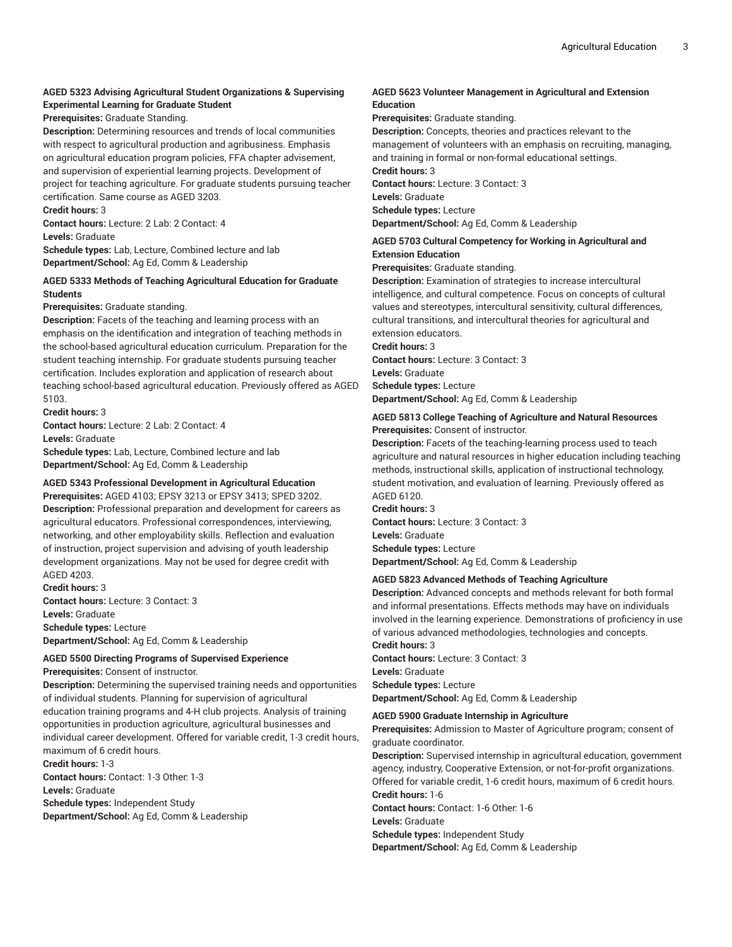# **AGED 5323 Advising Agricultural Student Organizations & Supervising Experimental Learning for Graduate Student**

**Prerequisites:** Graduate Standing.

**Description:** Determining resources and trends of local communities with respect to agricultural production and agribusiness. Emphasis on agricultural education program policies, FFA chapter advisement, and supervision of experiential learning projects. Development of project for teaching agriculture. For graduate students pursuing teacher certification. Same course as AGED 3203. **Credit hours:** 3

**Contact hours:** Lecture: 2 Lab: 2 Contact: 4

**Levels:** Graduate

**Schedule types:** Lab, Lecture, Combined lecture and lab **Department/School:** Ag Ed, Comm & Leadership

#### **AGED 5333 Methods of Teaching Agricultural Education for Graduate Students**

#### **Prerequisites:** Graduate standing.

**Description:** Facets of the teaching and learning process with an emphasis on the identification and integration of teaching methods in the school-based agricultural education curriculum. Preparation for the student teaching internship. For graduate students pursuing teacher certification. Includes exploration and application of research about teaching school-based agricultural education. Previously offered as AGED 5103.

#### **Credit hours:** 3

**Contact hours:** Lecture: 2 Lab: 2 Contact: 4 **Levels:** Graduate

**Schedule types:** Lab, Lecture, Combined lecture and lab **Department/School:** Ag Ed, Comm & Leadership

#### **AGED 5343 Professional Development in Agricultural Education**

**Prerequisites:** AGED 4103; EPSY 3213 or EPSY 3413; SPED 3202. **Description:** Professional preparation and development for careers as agricultural educators. Professional correspondences, interviewing, networking, and other employability skills. Reflection and evaluation of instruction, project supervision and advising of youth leadership development organizations. May not be used for degree credit with AGED 4203.

**Credit hours:** 3 **Contact hours:** Lecture: 3 Contact: 3 **Levels:** Graduate **Schedule types:** Lecture **Department/School:** Ag Ed, Comm & Leadership

### **AGED 5500 Directing Programs of Supervised Experience**

**Prerequisites:** Consent of instructor.

**Description:** Determining the supervised training needs and opportunities of individual students. Planning for supervision of agricultural education training programs and 4-H club projects. Analysis of training opportunities in production agriculture, agricultural businesses and individual career development. Offered for variable credit, 1-3 credit hours, maximum of 6 credit hours.

**Credit hours:** 1-3 **Contact hours:** Contact: 1-3 Other: 1-3 **Levels:** Graduate

**Schedule types:** Independent Study **Department/School:** Ag Ed, Comm & Leadership

#### **AGED 5623 Volunteer Management in Agricultural and Extension Education**

**Prerequisites:** Graduate standing.

**Description:** Concepts, theories and practices relevant to the management of volunteers with an emphasis on recruiting, managing, and training in formal or non-formal educational settings. **Credit hours:** 3

**Contact hours:** Lecture: 3 Contact: 3

**Levels:** Graduate

**Schedule types:** Lecture

**Department/School:** Ag Ed, Comm & Leadership

### **AGED 5703 Cultural Competency for Working in Agricultural and Extension Education**

**Prerequisites:** Graduate standing.

**Description:** Examination of strategies to increase intercultural intelligence, and cultural competence. Focus on concepts of cultural values and stereotypes, intercultural sensitivity, cultural differences, cultural transitions, and intercultural theories for agricultural and extension educators.

**Credit hours:** 3

**Contact hours:** Lecture: 3 Contact: 3

**Levels:** Graduate **Schedule types:** Lecture

**Department/School:** Ag Ed, Comm & Leadership

#### **AGED 5813 College Teaching of Agriculture and Natural Resources Prerequisites:** Consent of instructor.

**Description:** Facets of the teaching-learning process used to teach agriculture and natural resources in higher education including teaching methods, instructional skills, application of instructional technology, student motivation, and evaluation of learning. Previously offered as AGED 6120.

**Credit hours:** 3 **Contact hours:** Lecture: 3 Contact: 3 **Levels:** Graduate **Schedule types:** Lecture **Department/School:** Ag Ed, Comm & Leadership

#### **AGED 5823 Advanced Methods of Teaching Agriculture**

**Description:** Advanced concepts and methods relevant for both formal and informal presentations. Effects methods may have on individuals involved in the learning experience. Demonstrations of proficiency in use of various advanced methodologies, technologies and concepts. **Credit hours:** 3

**Contact hours:** Lecture: 3 Contact: 3 **Levels:** Graduate **Schedule types:** Lecture **Department/School:** Ag Ed, Comm & Leadership

#### **AGED 5900 Graduate Internship in Agriculture**

**Prerequisites:** Admission to Master of Agriculture program; consent of graduate coordinator.

**Description:** Supervised internship in agricultural education, government agency, industry, Cooperative Extension, or not-for-profit organizations. Offered for variable credit, 1-6 credit hours, maximum of 6 credit hours. **Credit hours:** 1-6 **Contact hours:** Contact: 1-6 Other: 1-6

**Levels:** Graduate

**Schedule types:** Independent Study **Department/School:** Ag Ed, Comm & Leadership